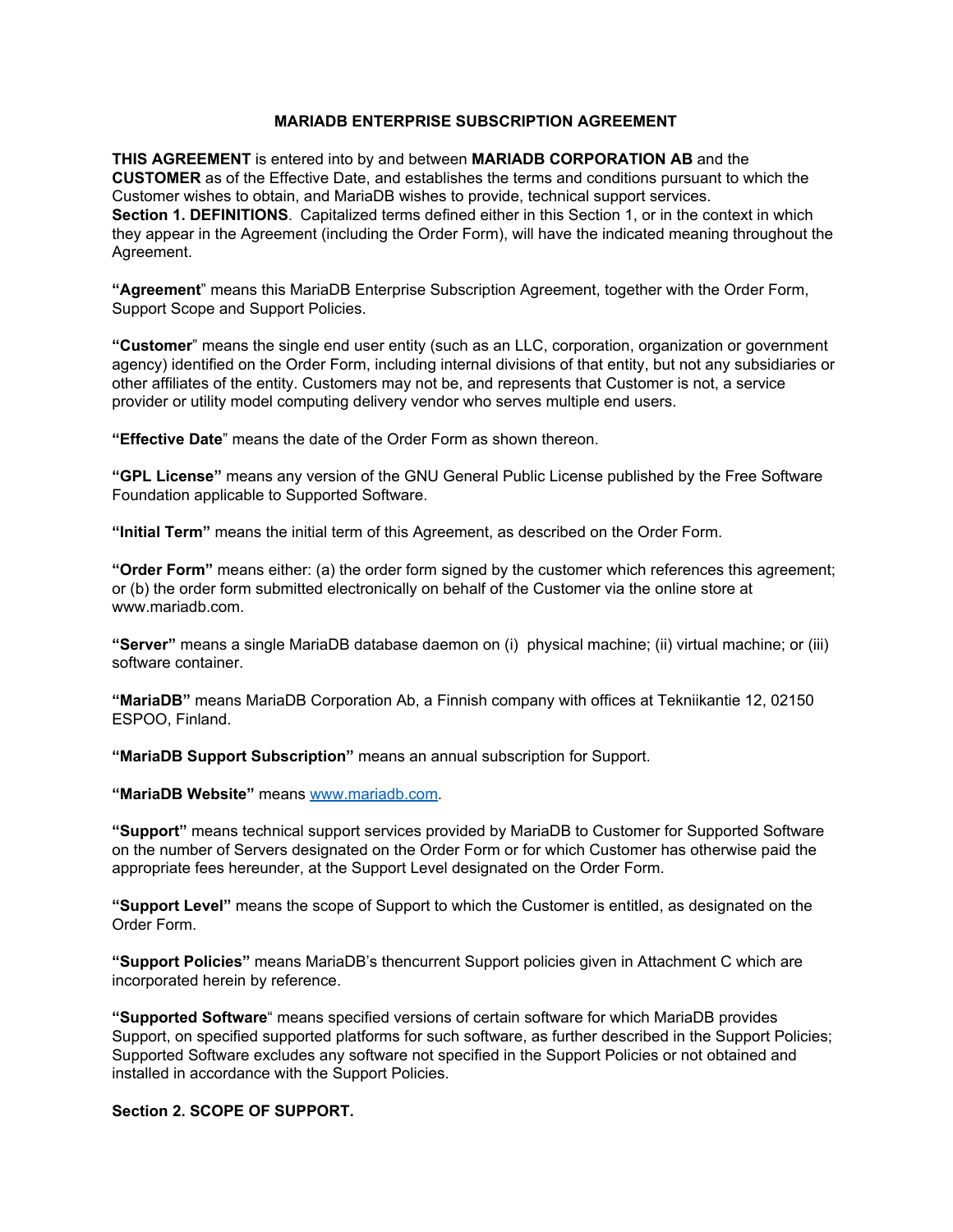## **MARIADB ENTERPRISE SUBSCRIPTION AGREEMENT**

**THIS AGREEMENT** is entered into by and between **MARIADB CORPORATION AB** and the **CUSTOMER** as of the Effective Date, and establishes the terms and conditions pursuant to which the Customer wishes to obtain, and MariaDB wishes to provide, technical support services. **Section 1. DEFINITIONS**. Capitalized terms defined either in this Section 1, or in the context in which they appear in the Agreement (including the Order Form), will have the indicated meaning throughout the Agreement.

**"Agreement**" means this MariaDB Enterprise Subscription Agreement, together with the Order Form, Support Scope and Support Policies.

**"Customer**" means the single end user entity (such as an LLC, corporation, organization or government agency) identified on the Order Form, including internal divisions of that entity, but not any subsidiaries or other affiliates of the entity. Customers may not be, and represents that Customer is not, a service provider or utility model computing delivery vendor who serves multiple end users.

**"Effective Date**" means the date of the Order Form as shown thereon.

**"GPL License"** means any version of the GNU General Public License published by the Free Software Foundation applicable to Supported Software.

**"Initial Term"** means the initial term of this Agreement, as described on the Order Form.

**"Order Form"** means either: (a) the order form signed by the customer which references this agreement; or (b) the order form submitted electronically on behalf of the Customer via the online store at www.mariadb.com.

**"Server"** means a single MariaDB database daemon on (i) physical machine; (ii) virtual machine; or (iii) software container.

**"MariaDB"** means MariaDB Corporation Ab, a Finnish company with offices at Tekniikantie 12, 02150 ESPOO, Finland.

**"MariaDB Support Subscription"** means an annual subscription for Support.

**"MariaDB Website"** means [www.mariadb.com](http://www.mariadb.com/).

**"Support"** means technical support services provided by MariaDB to Customer for Supported Software on the number of Servers designated on the Order Form or for which Customer has otherwise paid the appropriate fees hereunder, at the Support Level designated on the Order Form.

**"Support Level"** means the scope of Support to which the Customer is entitled, as designated on the Order Form.

**"Support Policies"** means MariaDB's thencurrent Support policies given in Attachment C which are incorporated herein by reference.

**"Supported Software**" means specified versions of certain software for which MariaDB provides Support, on specified supported platforms for such software, as further described in the Support Policies; Supported Software excludes any software not specified in the Support Policies or not obtained and installed in accordance with the Support Policies.

**Section 2. SCOPE OF SUPPORT.**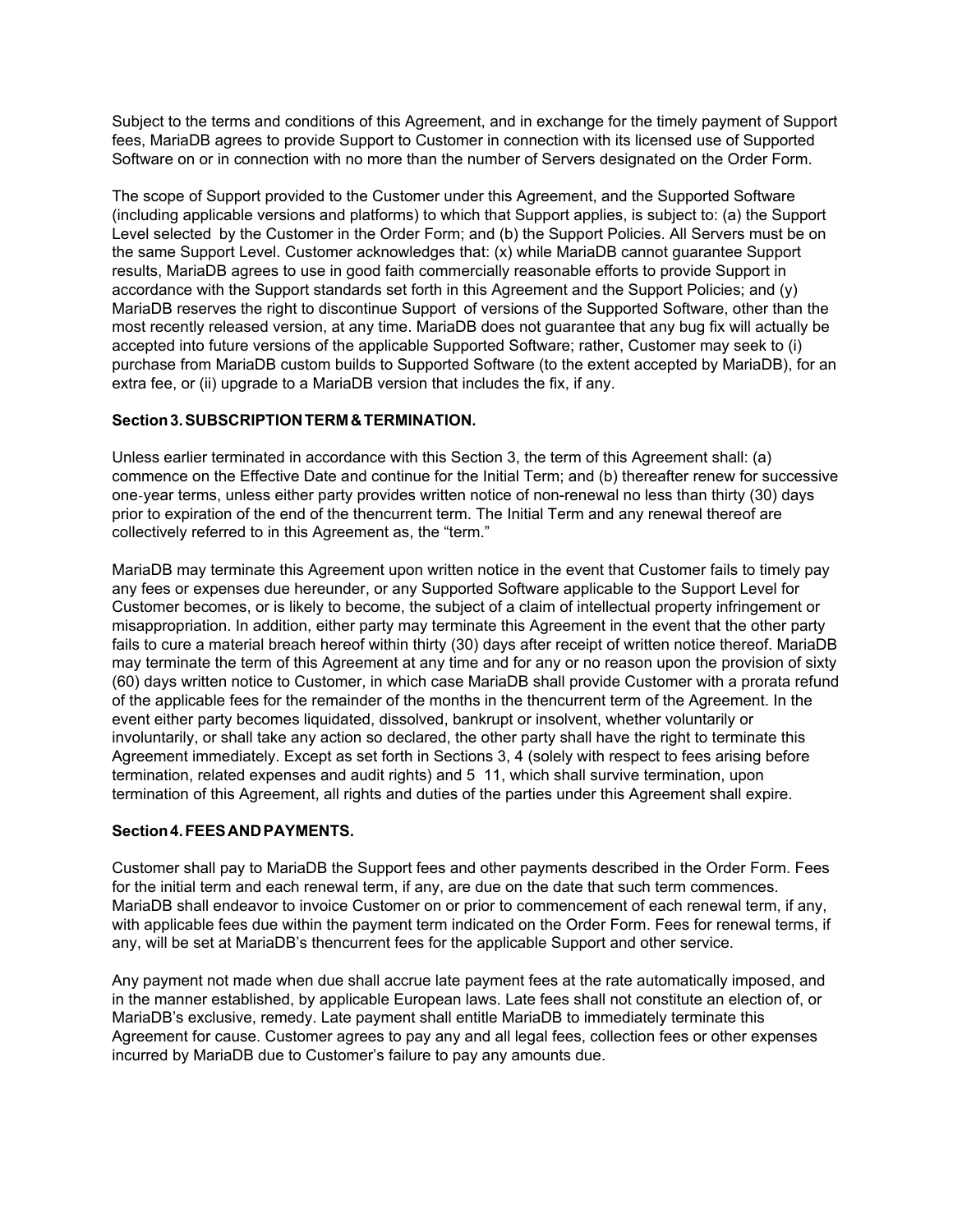Subject to the terms and conditions of this Agreement, and in exchange for the timely payment of Support fees, MariaDB agrees to provide Support to Customer in connection with its licensed use of Supported Software on or in connection with no more than the number of Servers designated on the Order Form.

The scope of Support provided to the Customer under this Agreement, and the Supported Software (including applicable versions and platforms) to which that Support applies, is subject to: (a) the Support Level selected by the Customer in the Order Form; and (b) the Support Policies. All Servers must be on the same Support Level. Customer acknowledges that: (x) while MariaDB cannot guarantee Support results, MariaDB agrees to use in good faith commercially reasonable efforts to provide Support in accordance with the Support standards set forth in this Agreement and the Support Policies; and (y) MariaDB reserves the right to discontinue Support of versions of the Supported Software, other than the most recently released version, at any time. MariaDB does not guarantee that any bug fix will actually be accepted into future versions of the applicable Supported Software; rather, Customer may seek to (i) purchase from MariaDB custom builds to Supported Software (to the extent accepted by MariaDB), for an extra fee, or (ii) upgrade to a MariaDB version that includes the fix, if any.

## **Section 3. SUBSCRIPTION TERM & TERMINATION.**

Unless earlier terminated in accordance with this Section 3, the term of this Agreement shall: (a) commence on the Effective Date and continue for the Initial Term; and (b) thereafter renew for successive one-year terms, unless either party provides written notice of non-renewal no less than thirty (30) days prior to expiration of the end of the thencurrent term. The Initial Term and any renewal thereof are collectively referred to in this Agreement as, the "term."

MariaDB may terminate this Agreement upon written notice in the event that Customer fails to timely pay any fees or expenses due hereunder, or any Supported Software applicable to the Support Level for Customer becomes, or is likely to become, the subject of a claim of intellectual property infringement or misappropriation. In addition, either party may terminate this Agreement in the event that the other party fails to cure a material breach hereof within thirty (30) days after receipt of written notice thereof. MariaDB may terminate the term of this Agreement at any time and for any or no reason upon the provision of sixty (60) days written notice to Customer, in which case MariaDB shall provide Customer with a prorata refund of the applicable fees for the remainder of the months in the thencurrent term of the Agreement. In the event either party becomes liquidated, dissolved, bankrupt or insolvent, whether voluntarily or involuntarily, or shall take any action so declared, the other party shall have the right to terminate this Agreement immediately. Except as set forth in Sections 3, 4 (solely with respect to fees arising before termination, related expenses and audit rights) and 5 11, which shall survive termination, upon termination of this Agreement, all rights and duties of the parties under this Agreement shall expire.

#### **Section 4. FEES AND PAYMENTS.**

Customer shall pay to MariaDB the Support fees and other payments described in the Order Form. Fees for the initial term and each renewal term, if any, are due on the date that such term commences. MariaDB shall endeavor to invoice Customer on or prior to commencement of each renewal term, if any, with applicable fees due within the payment term indicated on the Order Form. Fees for renewal terms, if any, will be set at MariaDB's thencurrent fees for the applicable Support and other service.

Any payment not made when due shall accrue late payment fees at the rate automatically imposed, and in the manner established, by applicable European laws. Late fees shall not constitute an election of, or MariaDB's exclusive, remedy. Late payment shall entitle MariaDB to immediately terminate this Agreement for cause. Customer agrees to pay any and all legal fees, collection fees or other expenses incurred by MariaDB due to Customer's failure to pay any amounts due.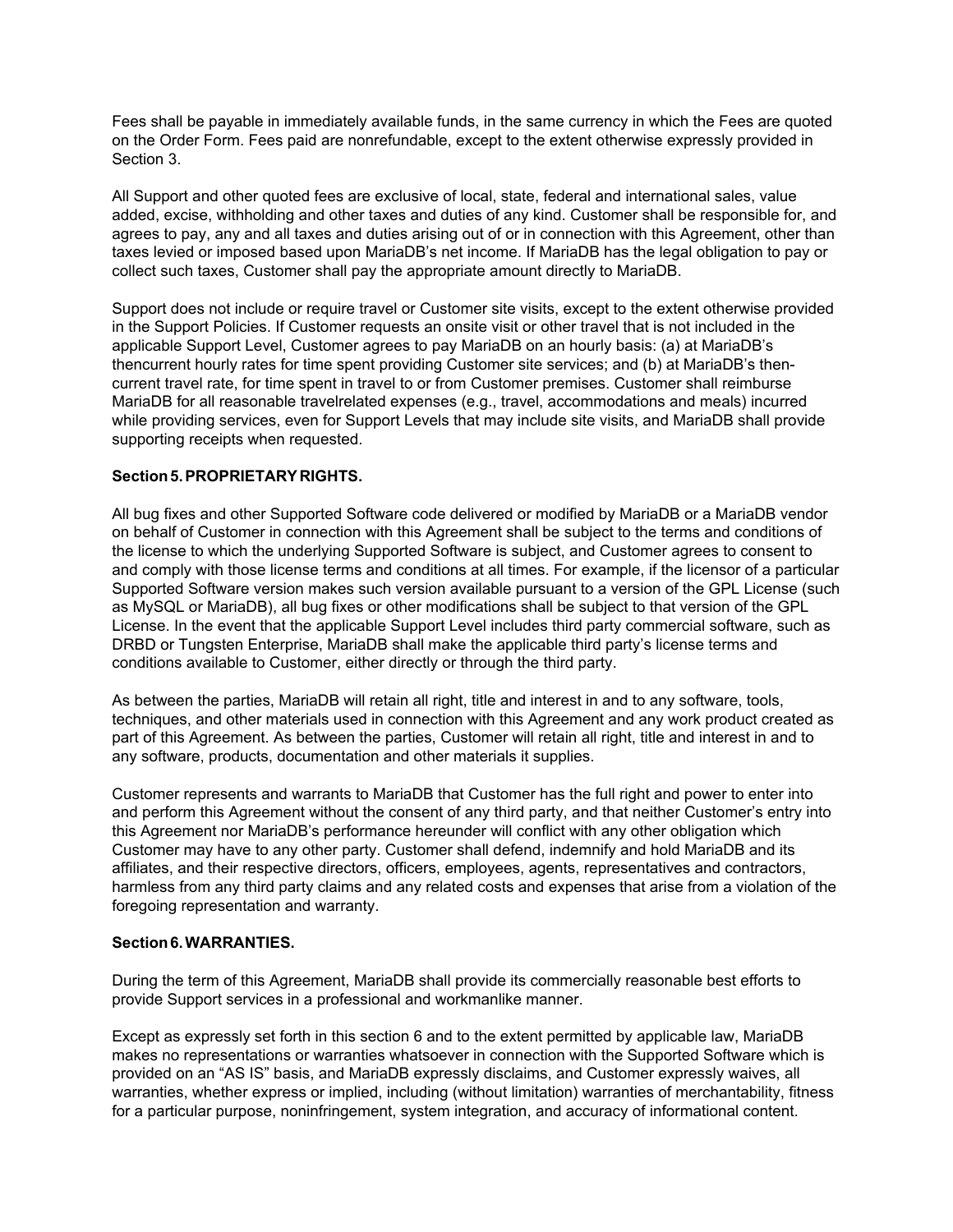Fees shall be payable in immediately available funds, in the same currency in which the Fees are quoted on the Order Form. Fees paid are nonrefundable, except to the extent otherwise expressly provided in Section 3.

All Support and other quoted fees are exclusive of local, state, federal and international sales, value added, excise, withholding and other taxes and duties of any kind. Customer shall be responsible for, and agrees to pay, any and all taxes and duties arising out of or in connection with this Agreement, other than taxes levied or imposed based upon MariaDB's net income. If MariaDB has the legal obligation to pay or collect such taxes, Customer shall pay the appropriate amount directly to MariaDB.

Support does not include or require travel or Customer site visits, except to the extent otherwise provided in the Support Policies. If Customer requests an onsite visit or other travel that is not included in the applicable Support Level, Customer agrees to pay MariaDB on an hourly basis: (a) at MariaDB's thencurrent hourly rates for time spent providing Customer site services; and (b) at MariaDB's thencurrent travel rate, for time spent in travel to or from Customer premises. Customer shall reimburse MariaDB for all reasonable travelrelated expenses (e.g., travel, accommodations and meals) incurred while providing services, even for Support Levels that may include site visits, and MariaDB shall provide supporting receipts when requested.

## **Section 5. PROPRIETARY RIGHTS.**

All bug fixes and other Supported Software code delivered or modified by MariaDB or a MariaDB vendor on behalf of Customer in connection with this Agreement shall be subject to the terms and conditions of the license to which the underlying Supported Software is subject, and Customer agrees to consent to and comply with those license terms and conditions at all times. For example, if the licensor of a particular Supported Software version makes such version available pursuant to a version of the GPL License (such as MySQL or MariaDB), all bug fixes or other modifications shall be subject to that version of the GPL License. In the event that the applicable Support Level includes third party commercial software, such as DRBD or Tungsten Enterprise, MariaDB shall make the applicable third party's license terms and conditions available to Customer, either directly or through the third party.

As between the parties, MariaDB will retain all right, title and interest in and to any software, tools, techniques, and other materials used in connection with this Agreement and any work product created as part of this Agreement. As between the parties, Customer will retain all right, title and interest in and to any software, products, documentation and other materials it supplies.

Customer represents and warrants to MariaDB that Customer has the full right and power to enter into and perform this Agreement without the consent of any third party, and that neither Customer's entry into this Agreement nor MariaDB's performance hereunder will conflict with any other obligation which Customer may have to any other party. Customer shall defend, indemnify and hold MariaDB and its affiliates, and their respective directors, officers, employees, agents, representatives and contractors, harmless from any third party claims and any related costs and expenses that arise from a violation of the foregoing representation and warranty.

#### **Section 6. WARRANTIES.**

During the term of this Agreement, MariaDB shall provide its commercially reasonable best efforts to provide Support services in a professional and workmanlike manner.

Except as expressly set forth in this section 6 and to the extent permitted by applicable law, MariaDB makes no representations or warranties whatsoever in connection with the Supported Software which is provided on an "AS IS" basis, and MariaDB expressly disclaims, and Customer expressly waives, all warranties, whether express or implied, including (without limitation) warranties of merchantability, fitness for a particular purpose, noninfringement, system integration, and accuracy of informational content.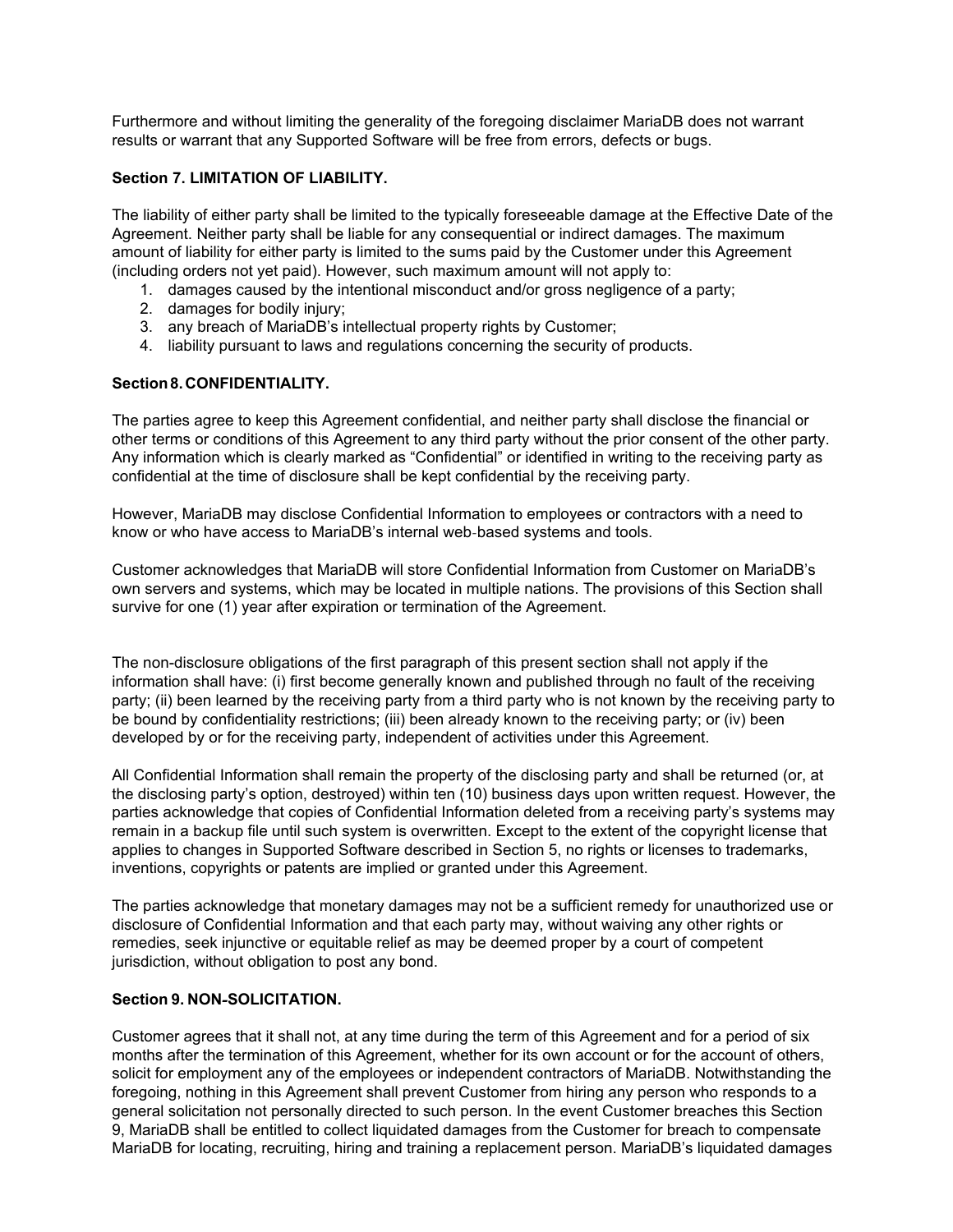Furthermore and without limiting the generality of the foregoing disclaimer MariaDB does not warrant results or warrant that any Supported Software will be free from errors, defects or bugs.

#### **Section 7. LIMITATION OF LIABILITY.**

The liability of either party shall be limited to the typically foreseeable damage at the Effective Date of the Agreement. Neither party shall be liable for any consequential or indirect damages. The maximum amount of liability for either party is limited to the sums paid by the Customer under this Agreement (including orders not yet paid). However, such maximum amount will not apply to:

- 1. damages caused by the intentional misconduct and/or gross negligence of <sup>a</sup> party;
- 2. damages for bodily injury;
- 3. any breach of MariaDB's intellectual property rights by Customer;
- 4. liability pursuant to laws and regulations concerning the security of products.

## **Section 8. CONFIDENTIALITY.**

The parties agree to keep this Agreement confidential, and neither party shall disclose the financial or other terms or conditions of this Agreement to any third party without the prior consent of the other party. Any information which is clearly marked as "Confidential" or identified in writing to the receiving party as confidential at the time of disclosure shall be kept confidential by the receiving party.

However, MariaDB may disclose Confidential Information to employees or contractors with a need to know or who have access to MariaDB's internal web-based systems and tools.

Customer acknowledges that MariaDB will store Confidential Information from Customer on MariaDB's own servers and systems, which may be located in multiple nations. The provisions of this Section shall survive for one (1) year after expiration or termination of the Agreement.

The non-disclosure obligations of the first paragraph of this present section shall not apply if the information shall have: (i) first become generally known and published through no fault of the receiving party; (ii) been learned by the receiving party from a third party who is not known by the receiving party to be bound by confidentiality restrictions; (iii) been already known to the receiving party; or (iv) been developed by or for the receiving party, independent of activities under this Agreement.

All Confidential Information shall remain the property of the disclosing party and shall be returned (or, at the disclosing party's option, destroyed) within ten (10) business days upon written request. However, the parties acknowledge that copies of Confidential Information deleted from a receiving party's systems may remain in a backup file until such system is overwritten. Except to the extent of the copyright license that applies to changes in Supported Software described in Section 5, no rights or licenses to trademarks, inventions, copyrights or patents are implied or granted under this Agreement.

The parties acknowledge that monetary damages may not be a sufficient remedy for unauthorized use or disclosure of Confidential Information and that each party may, without waiving any other rights or remedies, seek injunctive or equitable relief as may be deemed proper by a court of competent jurisdiction, without obligation to post any bond.

#### **Section 9. NON**-**SOLICITATION.**

Customer agrees that it shall not, at any time during the term of this Agreement and for a period of six months after the termination of this Agreement, whether for its own account or for the account of others, solicit for employment any of the employees or independent contractors of MariaDB. Notwithstanding the foregoing, nothing in this Agreement shall prevent Customer from hiring any person who responds to a general solicitation not personally directed to such person. In the event Customer breaches this Section 9, MariaDB shall be entitled to collect liquidated damages from the Customer for breach to compensate MariaDB for locating, recruiting, hiring and training a replacement person. MariaDB's liquidated damages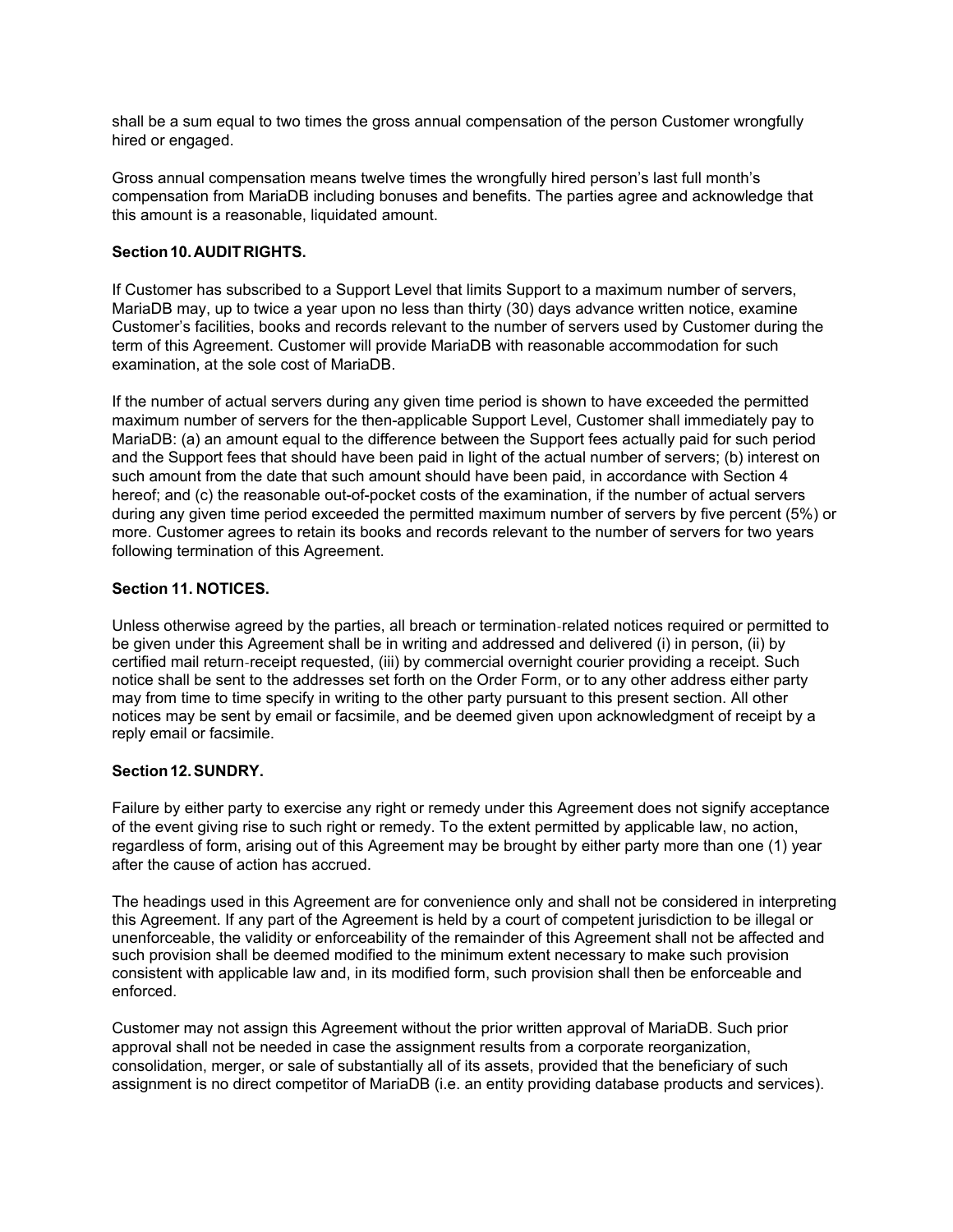shall be a sum equal to two times the gross annual compensation of the person Customer wrongfully hired or engaged.

Gross annual compensation means twelve times the wrongfully hired person's last full month's compensation from MariaDB including bonuses and benefits. The parties agree and acknowledge that this amount is a reasonable, liquidated amount.

# **Section 10. AUDIT RIGHTS.**

If Customer has subscribed to a Support Level that limits Support to a maximum number of servers, MariaDB may, up to twice a year upon no less than thirty (30) days advance written notice, examine Customer's facilities, books and records relevant to the number of servers used by Customer during the term of this Agreement. Customer will provide MariaDB with reasonable accommodation for such examination, at the sole cost of MariaDB.

If the number of actual servers during any given time period is shown to have exceeded the permitted maximum number of servers for the then-applicable Support Level, Customer shall immediately pay to MariaDB: (a) an amount equal to the difference between the Support fees actually paid for such period and the Support fees that should have been paid in light of the actual number of servers; (b) interest on such amount from the date that such amount should have been paid, in accordance with Section 4 hereof; and (c) the reasonable out-of-pocket costs of the examination, if the number of actual servers during any given time period exceeded the permitted maximum number of servers by five percent (5%) or more. Customer agrees to retain its books and records relevant to the number of servers for two years following termination of this Agreement.

## **Section 11. NOTICES.**

Unless otherwise agreed by the parties, all breach or termination-related notices required or permitted to be given under this Agreement shall be in writing and addressed and delivered (i) in person, (ii) by certified mail return-receipt requested, (iii) by commercial overnight courier providing a receipt. Such notice shall be sent to the addresses set forth on the Order Form, or to any other address either party may from time to time specify in writing to the other party pursuant to this present section. All other notices may be sent by email or facsimile, and be deemed given upon acknowledgment of receipt by a reply email or facsimile.

# **Section 12. SUNDRY.**

Failure by either party to exercise any right or remedy under this Agreement does not signify acceptance of the event giving rise to such right or remedy. To the extent permitted by applicable law, no action, regardless of form, arising out of this Agreement may be brought by either party more than one (1) year after the cause of action has accrued.

The headings used in this Agreement are for convenience only and shall not be considered in interpreting this Agreement. If any part of the Agreement is held by a court of competent jurisdiction to be illegal or unenforceable, the validity or enforceability of the remainder of this Agreement shall not be affected and such provision shall be deemed modified to the minimum extent necessary to make such provision consistent with applicable law and, in its modified form, such provision shall then be enforceable and enforced.

Customer may not assign this Agreement without the prior written approval of MariaDB. Such prior approval shall not be needed in case the assignment results from a corporate reorganization, consolidation, merger, or sale of substantially all of its assets, provided that the beneficiary of such assignment is no direct competitor of MariaDB (i.e. an entity providing database products and services).